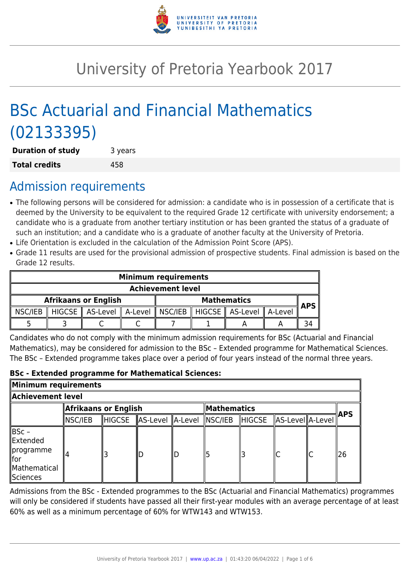

# University of Pretoria Yearbook 2017

# BSc Actuarial and Financial Mathematics (02133395)

| <b>Duration of study</b> | 3 years |  |  |
|--------------------------|---------|--|--|
| <b>Total credits</b>     | 458     |  |  |

# Admission requirements

- The following persons will be considered for admission: a candidate who is in possession of a certificate that is deemed by the University to be equivalent to the required Grade 12 certificate with university endorsement; a candidate who is a graduate from another tertiary institution or has been granted the status of a graduate of such an institution; and a candidate who is a graduate of another faculty at the University of Pretoria.
- Life Orientation is excluded in the calculation of the Admission Point Score (APS).
- Grade 11 results are used for the provisional admission of prospective students. Final admission is based on the Grade 12 results.

| <b>Minimum requirements</b> |                             |                                                                           |  |                    |  |  |  |      |
|-----------------------------|-----------------------------|---------------------------------------------------------------------------|--|--------------------|--|--|--|------|
| <b>Achievement level</b>    |                             |                                                                           |  |                    |  |  |  |      |
|                             | <b>Afrikaans or English</b> |                                                                           |  | <b>Mathematics</b> |  |  |  | APS. |
| $\parallel$ NSC/IEB         |                             | HIGCSE    AS-Level    A-Level    NSC/IEB    HIGCSE    AS-Level    A-Level |  |                    |  |  |  |      |
|                             |                             |                                                                           |  |                    |  |  |  |      |

Candidates who do not comply with the minimum admission requirements for BSc (Actuarial and Financial Mathematics), may be considered for admission to the BSc – Extended programme for Mathematical Sciences. The BSc – Extended programme takes place over a period of four years instead of the normal three years.

#### **BSc - Extended programme for Mathematical Sciences:**

| Minimum requirements                                                               |                      |               |                  |  |             |               |                  |  |            |  |
|------------------------------------------------------------------------------------|----------------------|---------------|------------------|--|-------------|---------------|------------------|--|------------|--|
| Achievement level.                                                                 |                      |               |                  |  |             |               |                  |  |            |  |
|                                                                                    | Afrikaans or English |               |                  |  | Mathematics |               |                  |  | <b>APS</b> |  |
|                                                                                    | $\parallel$ NSC/IEB  | <b>HIGCSE</b> | AS-Level A-Level |  | NSC/IEB     | <b>HIGCSE</b> | AS-Level A-Level |  |            |  |
| ∥BSc –<br><b>Extended</b><br>∥programme<br>∥for<br>Mathematical<br><b>Sciences</b> |                      |               |                  |  |             |               | lC               |  | ∥26        |  |

Admissions from the BSc - Extended programmes to the BSc (Actuarial and Financial Mathematics) programmes will only be considered if students have passed all their first-year modules with an average percentage of at least 60% as well as a minimum percentage of 60% for WTW143 and WTW153.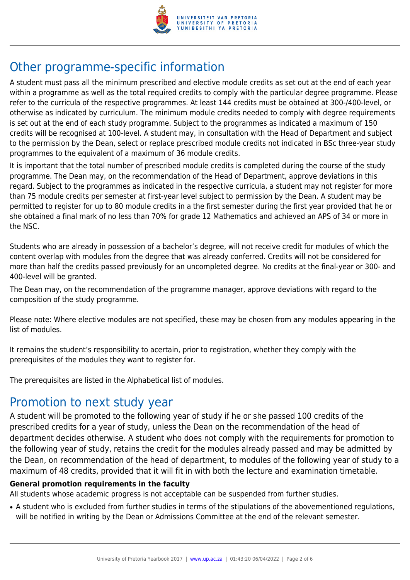

# Other programme-specific information

A student must pass all the minimum prescribed and elective module credits as set out at the end of each year within a programme as well as the total required credits to comply with the particular degree programme. Please refer to the curricula of the respective programmes. At least 144 credits must be obtained at 300-/400-level, or otherwise as indicated by curriculum. The minimum module credits needed to comply with degree requirements is set out at the end of each study programme. Subject to the programmes as indicated a maximum of 150 credits will be recognised at 100-level. A student may, in consultation with the Head of Department and subject to the permission by the Dean, select or replace prescribed module credits not indicated in BSc three-year study programmes to the equivalent of a maximum of 36 module credits.

It is important that the total number of prescribed module credits is completed during the course of the study programme. The Dean may, on the recommendation of the Head of Department, approve deviations in this regard. Subject to the programmes as indicated in the respective curricula, a student may not register for more than 75 module credits per semester at first-year level subject to permission by the Dean. A student may be permitted to register for up to 80 module credits in a the first semester during the first year provided that he or she obtained a final mark of no less than 70% for grade 12 Mathematics and achieved an APS of 34 or more in the NSC.

Students who are already in possession of a bachelor's degree, will not receive credit for modules of which the content overlap with modules from the degree that was already conferred. Credits will not be considered for more than half the credits passed previously for an uncompleted degree. No credits at the final-year or 300- and 400-level will be granted.

The Dean may, on the recommendation of the programme manager, approve deviations with regard to the composition of the study programme.

Please note: Where elective modules are not specified, these may be chosen from any modules appearing in the list of modules.

It remains the student's responsibility to acertain, prior to registration, whether they comply with the prerequisites of the modules they want to register for.

The prerequisites are listed in the Alphabetical list of modules.

# Promotion to next study year

A student will be promoted to the following year of study if he or she passed 100 credits of the prescribed credits for a year of study, unless the Dean on the recommendation of the head of department decides otherwise. A student who does not comply with the requirements for promotion to the following year of study, retains the credit for the modules already passed and may be admitted by the Dean, on recommendation of the head of department, to modules of the following year of study to a maximum of 48 credits, provided that it will fit in with both the lecture and examination timetable.

### **General promotion requirements in the faculty**

All students whose academic progress is not acceptable can be suspended from further studies.

• A student who is excluded from further studies in terms of the stipulations of the abovementioned regulations, will be notified in writing by the Dean or Admissions Committee at the end of the relevant semester.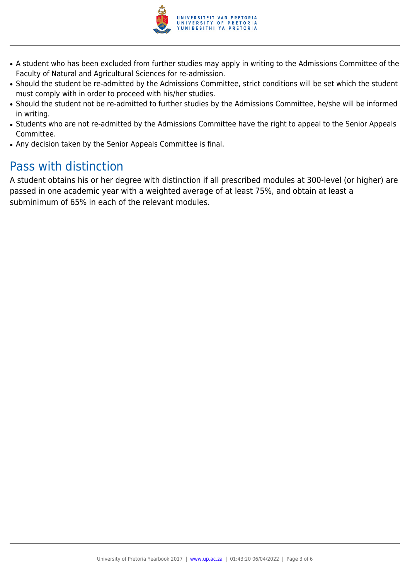

- A student who has been excluded from further studies may apply in writing to the Admissions Committee of the Faculty of Natural and Agricultural Sciences for re-admission.
- Should the student be re-admitted by the Admissions Committee, strict conditions will be set which the student must comply with in order to proceed with his/her studies.
- Should the student not be re-admitted to further studies by the Admissions Committee, he/she will be informed in writing.
- Students who are not re-admitted by the Admissions Committee have the right to appeal to the Senior Appeals Committee.
- Any decision taken by the Senior Appeals Committee is final.

# Pass with distinction

A student obtains his or her degree with distinction if all prescribed modules at 300-level (or higher) are passed in one academic year with a weighted average of at least 75%, and obtain at least a subminimum of 65% in each of the relevant modules.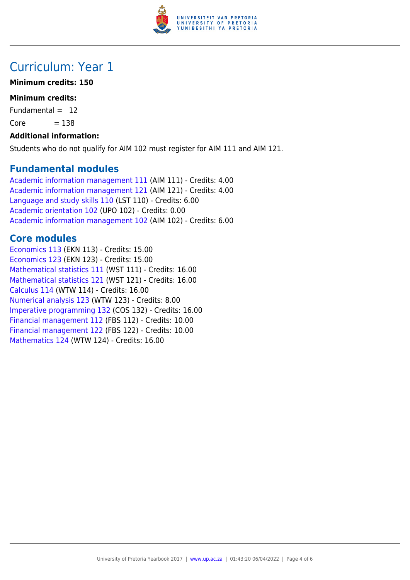

## Curriculum: Year 1

### **Minimum credits: 150**

### **Minimum credits:**

Fundamental  $= 12$ 

 $Core = 138$ 

#### **Additional information:**

Students who do not qualify for AIM 102 must register for AIM 111 and AIM 121.

### **Fundamental modules**

[Academic information management 111](https://www.up.ac.za/parents/yearbooks/2017/modules/view/AIM 111) (AIM 111) - Credits: 4.00 [Academic information management 121](https://www.up.ac.za/parents/yearbooks/2017/modules/view/AIM 121) (AIM 121) - Credits: 4.00 [Language and study skills 110](https://www.up.ac.za/parents/yearbooks/2017/modules/view/LST 110) (LST 110) - Credits: 6.00 [Academic orientation 102](https://www.up.ac.za/parents/yearbooks/2017/modules/view/UPO 102) (UPO 102) - Credits: 0.00 [Academic information management 102](https://www.up.ac.za/parents/yearbooks/2017/modules/view/AIM 102) (AIM 102) - Credits: 6.00

### **Core modules**

[Economics 113](https://www.up.ac.za/parents/yearbooks/2017/modules/view/EKN 113) (EKN 113) - Credits: 15.00 [Economics 123](https://www.up.ac.za/parents/yearbooks/2017/modules/view/EKN 123) (EKN 123) - Credits: 15.00 [Mathematical statistics 111](https://www.up.ac.za/parents/yearbooks/2017/modules/view/WST 111) (WST 111) - Credits: 16.00 [Mathematical statistics 121](https://www.up.ac.za/parents/yearbooks/2017/modules/view/WST 121) (WST 121) - Credits: 16.00 [Calculus 114](https://www.up.ac.za/parents/yearbooks/2017/modules/view/WTW 114) (WTW 114) - Credits: 16.00 [Numerical analysis 123](https://www.up.ac.za/parents/yearbooks/2017/modules/view/WTW 123) (WTW 123) - Credits: 8.00 [Imperative programming 132](https://www.up.ac.za/parents/yearbooks/2017/modules/view/COS 132) (COS 132) - Credits: 16.00 [Financial management 112](https://www.up.ac.za/parents/yearbooks/2017/modules/view/FBS 112) (FBS 112) - Credits: 10.00 [Financial management 122](https://www.up.ac.za/parents/yearbooks/2017/modules/view/FBS 122) (FBS 122) - Credits: 10.00 [Mathematics 124](https://www.up.ac.za/parents/yearbooks/2017/modules/view/WTW 124) (WTW 124) - Credits: 16.00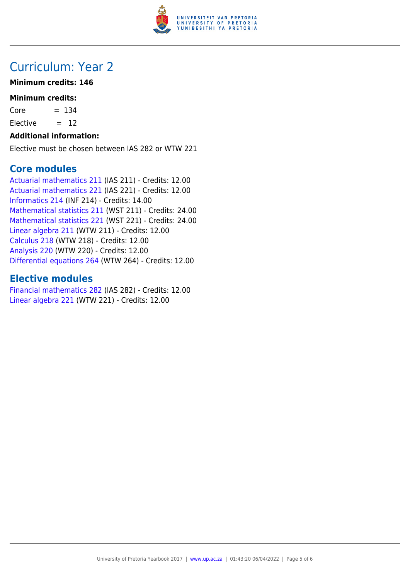

## Curriculum: Year 2

### **Minimum credits: 146**

#### **Minimum credits:**

 $Core = 134$ 

Elective  $= 12$ 

#### **Additional information:**

Elective must be chosen between IAS 282 or WTW 221

### **Core modules**

[Actuarial mathematics 211](https://www.up.ac.za/parents/yearbooks/2017/modules/view/IAS 211) (IAS 211) - Credits: 12.00 [Actuarial mathematics 221](https://www.up.ac.za/parents/yearbooks/2017/modules/view/IAS 221) (IAS 221) - Credits: 12.00 [Informatics 214](https://www.up.ac.za/parents/yearbooks/2017/modules/view/INF 214) (INF 214) - Credits: 14.00 [Mathematical statistics 211](https://www.up.ac.za/parents/yearbooks/2017/modules/view/WST 211) (WST 211) - Credits: 24.00 [Mathematical statistics 221](https://www.up.ac.za/parents/yearbooks/2017/modules/view/WST 221) (WST 221) - Credits: 24.00 [Linear algebra 211](https://www.up.ac.za/parents/yearbooks/2017/modules/view/WTW 211) (WTW 211) - Credits: 12.00 [Calculus 218](https://www.up.ac.za/parents/yearbooks/2017/modules/view/WTW 218) (WTW 218) - Credits: 12.00 [Analysis 220](https://www.up.ac.za/parents/yearbooks/2017/modules/view/WTW 220) (WTW 220) - Credits: 12.00 [Differential equations 264](https://www.up.ac.za/parents/yearbooks/2017/modules/view/WTW 264) (WTW 264) - Credits: 12.00

### **Elective modules**

[Financial mathematics 282](https://www.up.ac.za/parents/yearbooks/2017/modules/view/IAS 282) (IAS 282) - Credits: 12.00 [Linear algebra 221](https://www.up.ac.za/parents/yearbooks/2017/modules/view/WTW 221) (WTW 221) - Credits: 12.00